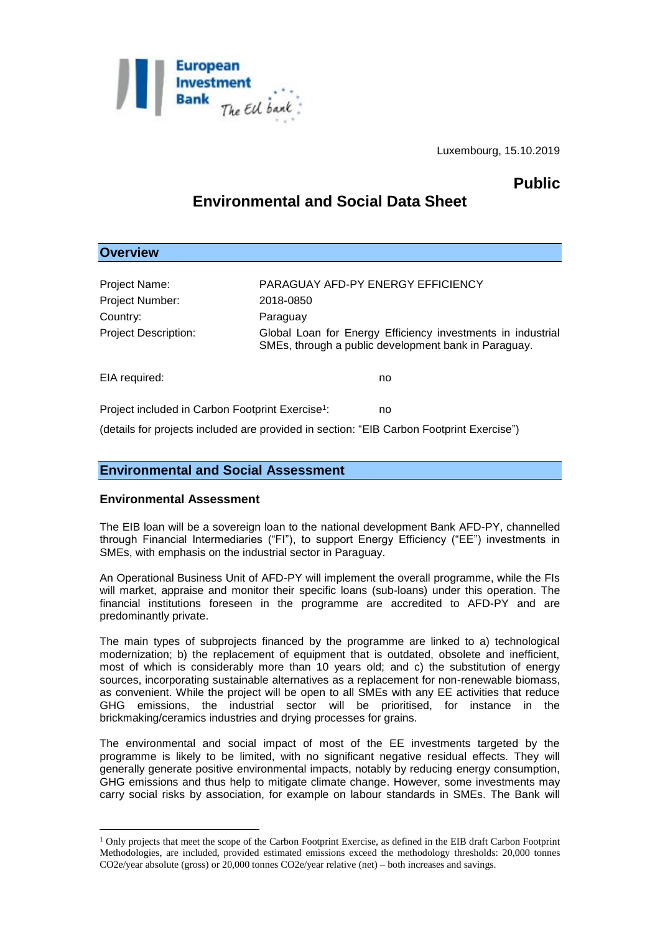

Luxembourg, 15.10.2019

## **Public**

# **Environmental and Social Data Sheet**

## **Overview**

1

| Project Name:                                                                            | PARAGUAY AFD-PY ENERGY EFFICIENCY                                                                                   |
|------------------------------------------------------------------------------------------|---------------------------------------------------------------------------------------------------------------------|
| Project Number:                                                                          | 2018-0850                                                                                                           |
| Country:                                                                                 | Paraguay                                                                                                            |
| <b>Project Description:</b>                                                              | Global Loan for Energy Efficiency investments in industrial<br>SMEs, through a public development bank in Paraguay. |
| EIA required:                                                                            | no                                                                                                                  |
| Project included in Carbon Footprint Exercise <sup>1</sup> :                             | no                                                                                                                  |
| (details for projects included are provided in section: "EIB Carbon Footprint Exercise") |                                                                                                                     |

## **Environmental and Social Assessment**

### **Environmental Assessment**

The EIB loan will be a sovereign loan to the national development Bank AFD-PY, channelled through Financial Intermediaries ("FI"), to support Energy Efficiency ("EE") investments in SMEs, with emphasis on the industrial sector in Paraguay.

An Operational Business Unit of AFD-PY will implement the overall programme, while the FIs will market, appraise and monitor their specific loans (sub-loans) under this operation. The financial institutions foreseen in the programme are accredited to AFD-PY and are predominantly private.

The main types of subprojects financed by the programme are linked to a) technological modernization; b) the replacement of equipment that is outdated, obsolete and inefficient, most of which is considerably more than 10 years old; and c) the substitution of energy sources, incorporating sustainable alternatives as a replacement for non-renewable biomass, as convenient. While the project will be open to all SMEs with any EE activities that reduce GHG emissions, the industrial sector will be prioritised, for instance in the brickmaking/ceramics industries and drying processes for grains.

The environmental and social impact of most of the EE investments targeted by the programme is likely to be limited, with no significant negative residual effects. They will generally generate positive environmental impacts, notably by reducing energy consumption, GHG emissions and thus help to mitigate climate change. However, some investments may carry social risks by association, for example on labour standards in SMEs. The Bank will

<sup>&</sup>lt;sup>1</sup> Only projects that meet the scope of the Carbon Footprint Exercise, as defined in the EIB draft Carbon Footprint Methodologies, are included, provided estimated emissions exceed the methodology thresholds: 20,000 tonnes CO2e/year absolute (gross) or 20,000 tonnes CO2e/year relative (net) – both increases and savings.